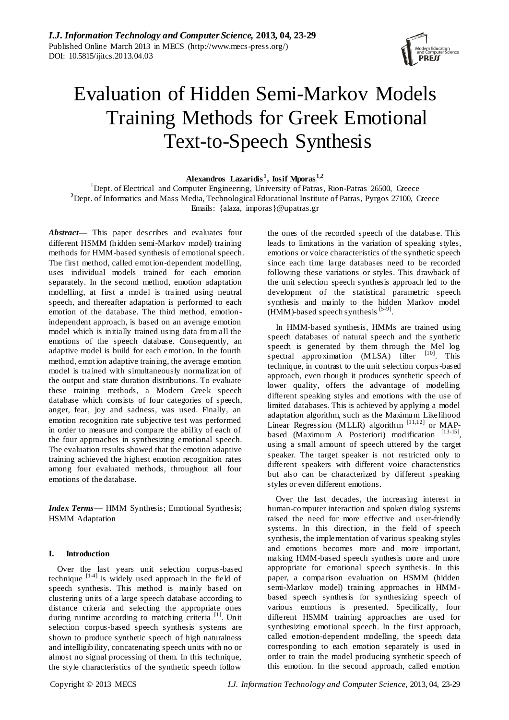

# Evaluation of Hidden Semi-Markov Models Training Methods for Greek Emotional Text-to-Speech Synthesis

## **Alexandros Lazaridis <sup>1</sup> , Iosif Mporas1,2**

<sup>1</sup>Dept. of Electrical and Computer Engineering, University of Patras, Rion-Patras 26500, Greece <sup>2</sup>Dept. of Informatics and Mass Media, Technological Educational Institute of Patras, Pyrgos 27100, Greece Emails: {alaza, [imporas}@upatras.gr](mailto:imporas%7D@upatras.gr)

*Abstract***—** This paper describes and evaluates four different HSMM (hidden semi-Markov model) training methods for HMM-based synthesis of emotional speech. The first method, called emotion-dependent modelling, uses individual models trained for each emotion separately. In the second method, emotion adaptation modelling, at first a model is tra ined using neutral speech, and thereafter adaptation is performed to each emotion of the database. The third method, emotionindependent approach, is based on an average emotion model which is initially trained using data from all the emotions of the speech database. Consequently, an adaptive model is build for each emotion. In the fourth method, emotion adaptive training, the average emotion model is trained with simultaneously normalization of the output and state duration distributions. To evaluate these training methods, a Modern Greek speech database which consists of four categories of speech, anger, fear, joy and sadness, was used. Finally, an emotion recognition rate subjective test was performed in order to measure and compare the ability of each of the four approaches in synthesizing emotional speech. The evaluation results showed that the emotion adaptive training achieved the highest emotion recognition rates among four evaluated methods, throughout all four emotions of the database.

*Index Terms***—** HMM Synthesis; Emotional Synthesis; HSMM Adaptation

#### **I. Introduction**

Over the last years unit selection corpus-based technique  $[14]$  is widely used approach in the field of speech synthesis. This method is mainly based on clustering units of a large speech database according to distance criteria and selecting the appropriate ones during runtime according to matching criteria [1]. Unit selection corpus-based speech synthesis systems are shown to produce synthetic speech of high naturalness and intelligibility, concatenating speech units with no or almost no signal processing of them. In this technique, the style characteristics of the synthetic speech follow

the ones of the recorded speech of the database. This leads to limitations in the variation of speaking styles, emotions or voice characteristics of the synthetic speech since each time large databases need to be recorded following these variations or styles. This drawback of the unit selection speech synthesis approach led to the development of the statistical parametric speech synthesis and mainly to the hidden Markov model (HMM)-based speech synthesis<sup>[5-9]</sup>.

In HMM-based synthesis, HMMs are trained using speech databases of natural speech and the synthetic speech is generated by them through the Mel log spectral approximation (MLSA) filter [10]. This technique, in contrast to the unit selection corpus-based approach, even though it produces synthetic speech of lower quality, offers the advantage of modelling different speaking styles and emotions with the use of limited databases. This is achieved by applying a model adaptation algorithm, such as the Maximum Likelihood Linear Regression (MLLR) algorithm  $[11,12]$  or MAPbased (Maximum A Posteriori) modification [13-15], using a small amount of speech uttered by the target speaker. The target speaker is not restricted only to different speakers with different voice characteristics but also can be characterized by different speaking styles or even different emotions.

Over the last decades, the increasing interest in human-computer interaction and spoken dialog systems raised the need for more effective and user-friendly systems. In this direction, in the field of speech synthesis, the implementation of various speaking styles and emotions becomes more and more important, making HMM-based speech synthesis more and more appropriate for emotional speech synthesis. In this paper, a comparison evaluation on HSMM (hidden semi-Markov model) training approaches in HMMbased speech synthesis for synthesizing speech of various emotions is presented. Specifically, four different HSMM training approaches are used for synthesizing emotional speech. In the first approach, called emotion-dependent modelling, the speech data corresponding to each emotion separately is used in order to train the model producing synthetic speech of this emotion. In the second approach, called emotion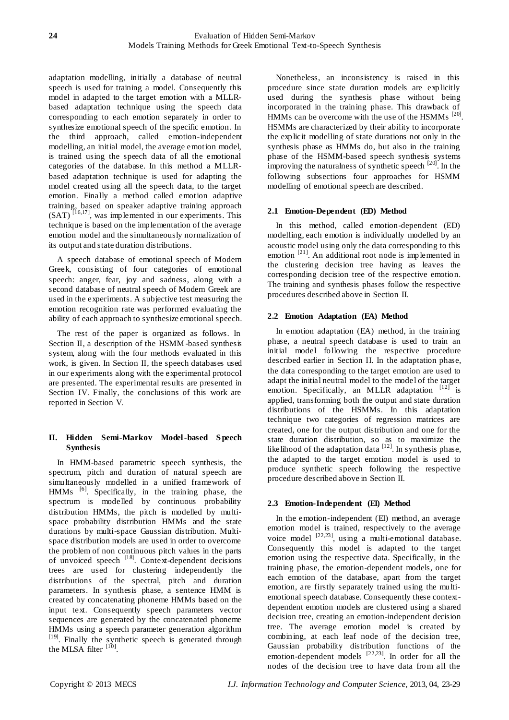adaptation modelling, initially a database of neutral speech is used for training a model. Consequently this model in adapted to the target emotion with a MLLRbased adaptation technique using the speech data corresponding to each emotion separately in order to synthesize emotional speech of the specific emotion. In the third approach, called emotion-independent modelling, an initial model, the average emotion model, is trained using the speech data of all the emotional categories of the database. In this method a MLLRbased adaptation technique is used for adapting the model created using all the speech data, to the target emotion. Finally a method called emotion adaptive training, based on speaker adaptive training approach  $(SAT)^{\tilde{[16,17]}},$  was implemented in our experiments. This technique is based on the implementation of the average emotion model and the simultaneously normalization of its output and state duration distributions.

A speech database of emotional speech of Modern Greek, consisting of four categories of emotional speech: anger, fear, joy and sadness, along with a second database of neutral speech of Modern Greek are used in the experiments. A subjective test measuring the emotion recognition rate was performed evaluating the ability of each approach to synthesize emotional speech.

The rest of the paper is organized as follows. In Section II, a description of the HSMM-based synthesis system, along with the four methods evaluated in this work, is given. In Section II, the speech databases used in our experiments along with the experimental protocol are presented. The experimental results are presented in Section IV. Finally, the conclusions of this work are reported in Section V.

# **II. Hidden Semi-Markov Model-based S peech Synthesis**

In HMM-based parametric speech synthesis, the spectrum, pitch and duration of natural speech are simultaneously modelled in a unified framework of HMMs <sup>[6]</sup>. Specifically, in the training phase, the spectrum is modelled by continuous probability distribution HMMs, the pitch is modelled by multispace probability distribution HMMs and the state durations by multi-space Gaussian distribution. Multispace distribution models are used in order to overcome the problem of non continuous pitch values in the parts of unvoiced speech  $^{[18]}$ . Context-dependent decisions trees are used for clustering independently the distributions of the spectral, pitch and duration parameters. In synthesis phase, a sentence HMM is created by concatenating phoneme HMMs based on the input text. Consequently speech parameters vector sequences are generated by the concatenated phoneme HMMs using a speech parameter generation algorithm [19]. Finally the synthetic speech is generated through the MLSA filter  $[10]$ .

Nonetheless, an inconsistency is raised in this procedure since state duration models are explicitly used during the synthesis phase without being incorporated in the training phase. This drawback of HMMs can be overcome with the use of the HSMMs  $^{[20]}$ . HSMMs are characterized by their ability to incorporate the explicit modelling of state durations not only in the synthesis phase as HMMs do, but also in the training phase of the HSMM-based speech synthesis systems improving the naturalness of synthetic speech [20]. In the following subsections four approaches for HSMM modelling of emotional speech are described.

# **2.1 Emotion-Dependent (ED) Method**

In this method, called emotion-dependent (ED) modelling, each emotion is individually modelled by an acoustic model using only the data corresponding to this emotion <sup>[21]</sup>. An additional root node is implemented in the clustering decision tree having as leaves the corresponding decision tree of the respective emotion. The training and synthesis phases follow the respective procedures described above in Section II.

# **2.2 Emotion Adaptation (EA) Method**

In emotion adaptation (EA) method, in the training phase, a neutral speech database is used to train an initial model following the respective procedure described earlier in Section II. In the adaptation phase, the data corresponding to the target emotion are used to adapt the initial neutral model to the model of the target emotion. Specifically, an MLLR adaptation  $[12]$  is applied, transforming both the output and state duration distributions of the HSMMs. In this adaptation technique two categories of regression matrices are created, one for the output distribution and one for the state duration distribution, so as to maximize the likelihood of the adaptation data  $[12]$ . In synthesis phase, the adapted to the target emotion model is used to produce synthetic speech following the respective procedure described above in Section II.

# **2.3 Emotion-Independent (EI) Method**

In the emotion-independent (EI) method, an average emotion model is trained, respectively to the average voice model <sup>[22,23]</sup>, using a multi-emotional database. Consequently this model is adapted to the target emotion using the respective data. Specifically, in the training phase, the emotion-dependent models, one for each emotion of the database, apart from the target emotion, are firstly separately trained using the multiemotional speech database. Consequently these contextdependent emotion models are clustered using a shared decision tree, creating an emotion-independent decision tree. The average emotion model is created by combining, at each leaf node of the decision tree, Gaussian probability distribution functions of the emotion-dependent models  $[22,23]$ . In order for all the nodes of the decision tree to have data from all the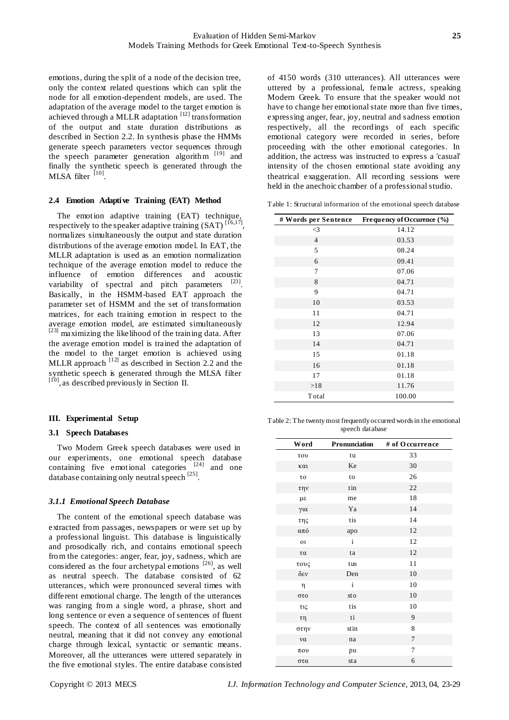emotions, during the split of a node of the decision tree, only the context related questions which can split the node for all emotion-dependent models, are used. The adaptation of the average model to the target emotion is achieved through a MLLR adaptation  $[12]$  transformation of the output and state duration distributions as described in Section 2.2. In synthesis phase the HMMs generate speech parameters vector sequences through the speech parameter generation algorithm  $[19]$  and finally the synthetic speech is generated through the  $MLSA$  filter  $^{[10]}$ .

#### **2.4 Emotion Adaptive Training (EAT) Method**

The emotion adaptive training (EAT) technique, respectively to the speaker adaptive training  $(SAT)^{[16,17]}$ , normalizes simultaneously the output and state duration distributions of the average emotion model. In EAT, the MLLR adaptation is used as an emotion normalization technique of the average emotion model to reduce the influence of emotion differences and acoustic variability of spectral and pitch parameters  $[23]$ . Basically, in the HSMM-based EAT approach the parameter set of HSMM and the set of transformation matrices, for each training emotion in respect to the average emotion model, are estimated simultaneously [23] maximizing the likelihood of the training data. After the average emotion model is trained the adaptation of the model to the target emotion is achieved using MLLR approach  $^{[12]}$  as described in Section 2.2 and the synthetic speech is generated through the MLSA filter [10], as described previously in Section II.

#### **III. Experimental Setup**

#### **3.1 Speech Databases**

Two Modern Greek speech databases were used in our experiments, one emotional speech database containing five emotional categories [24] and one database containing only neutral speech<sup>[25]</sup>.

#### *3.1.1 Emotional Speech Database*

The content of the emotional speech database was extracted from passages, newspapers or were set up by a professional linguist. This database is linguistically and prosodically rich, and contains emotional speech from the categories: anger, fear, joy, sadness, which are considered as the four archetypal emotions  $[26]$ , as well as neutral speech. The database consisted of 62 utterances, which were pronounced several times with different emotional charge. The length of the utterances was ranging from a single word, a phrase, short and long sentence or even a sequence of sentences of fluent speech. The context of all sentences was emotionally neutral, meaning that it did not convey any emotional charge through lexical, syntactic or semantic means. Moreover, all the utterances were uttered separately in the five emotional styles. The entire database consisted of 4150 words (310 utterances). All utterances were uttered by a professional, female actress, speaking Modern Greek. To ensure that the speaker would not have to change her emotional state more than five times, expressing anger, fear, joy, neutral and sadness emotion respectively, all the recordings of each specific emotional category were recorded in series, before proceeding with the other emotional categories. In addition, the actress was instructed to express a 'casual' intensity of the chosen emotional state avoiding any theatrical exaggeration. All recording sessions were held in the anechoic chamber of a professional studio.

Table 1: Structural information of the emotional speech database

| # Words per Sentence | Frequency of Occurence (%) |
|----------------------|----------------------------|
| $\leq$ 3             | 14.12                      |
| $\overline{4}$       | 03.53                      |
| 5                    | 08.24                      |
| 6                    | 09.41                      |
| 7                    | 07.06                      |
| 8                    | 04.71                      |
| 9                    | 04.71                      |
| 10                   | 03.53                      |
| 11                   | 04.71                      |
| 12                   | 12.94                      |
| 13                   | 07.06                      |
| 14                   | 04.71                      |
| 15                   | 01.18                      |
| 16                   | 01.18                      |
| 17                   | 01.18                      |
| >18                  | 11.76                      |
| Total                | 100.00                     |

Table 2: The twenty most frequently occurred words in the emotional speech database

| Word          | Pronunciation | # of Occurrence |
|---------------|---------------|-----------------|
| του           | tu            | 33              |
| και           | Ke            | 30              |
| $\tau$ o      | to            | 26              |
| $\tau \eta v$ | tin           | 22              |
| με            | me            | 18              |
| για           | Ya            | 14              |
| της           | tis           | 14              |
| από           | apo           | 12              |
| $_{01}$       | $\mathbf{i}$  | 12              |
| τα            | ta            | 12              |
| τους          | tus           | 11              |
| δεν           | Den           | 10              |
| η             | $\mathbf{i}$  | 10              |
| στο           | sto           | 10              |
| τις           | tis           | 10              |
| $\tau$ η      | $t_{1}$       | 9               |
| στην          | stin          | 8               |
| να            | na            | $\overline{7}$  |
| $\pi$ ov      | pu            | $\tau$          |
| στα           | sta           | 6               |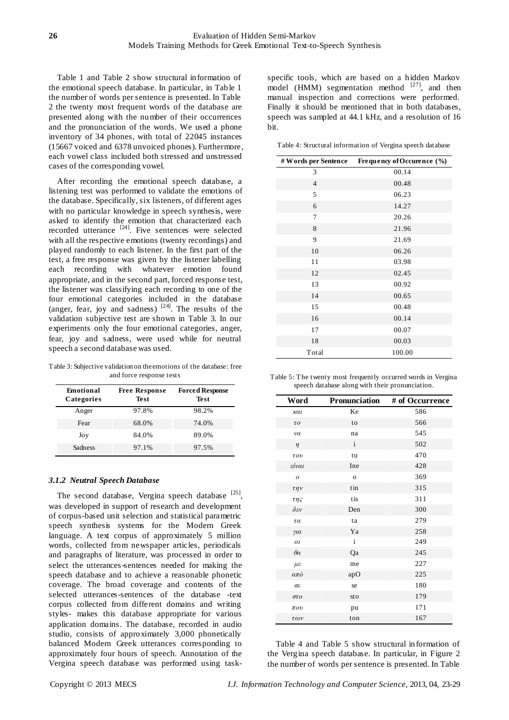Table 1 and Table 2 show structural information of the emotional speech database. In particular, in Table 1 the number of words per sentence is presented. In Table 2 the twenty most frequent words of the database are presented along with the number of their occurrences and the pronunciation of the words. We used a phone inventory of 34 phones, with total of 22045 instances (15667 voiced and 6378 unvoiced phones). Furthermore, each vowel class included both stressed and unstressed cases of the corresponding vowel.

After recording the emotional speech database, a listening test was performed to validate the emotions of the database. Specifically, six listeners, of different ages with no particular knowledge in speech synthesis, were asked to identify the emotion that characterized each recorded utterance <sup>[24]</sup>. Five sentences were selected with all the respective emotions (twenty recordings) and played randomly to each listener. In the first part of the test, a free response was given by the listener labelling each recording with whatever emotion found appropriate, and in the second part, forced response test, the listener was classifying each recording to one of the four emotional categories included in the database (anger, fear, joy and sadness)  $[24]$ . The results of the validation subjective test are shown in Table 3. In our experiments only the four emotional categories, anger, fear, joy and sadness, were used while for neutral speech a second database was used.

Table 3: Subjective validation on the emotions of the database: free and force response tests

| <b>Emotional</b><br>Categories | <b>Free Response</b><br>Test | <b>Forced Response</b><br><b>Test</b> |  |
|--------------------------------|------------------------------|---------------------------------------|--|
| Anger                          | 97.8%                        | 98.2%                                 |  |
| Fear                           | 68.0%                        | 74.0%                                 |  |
| Joy                            | 84.0%                        | 89.0%                                 |  |
| Sadness                        | 97.1%                        | 97.5%                                 |  |

#### *3.1.2 Neutral Speech Database*

The second database, Vergina speech database  $[25]$ , was developed in support of research and development of corpus-based unit selection and statistical parametric speech synthesis systems for the Modern Greek language. A text corpus of approximately 5 million words, collected from newspaper articles, periodicals and paragraphs of literature, was processed in order to select the utterances-sentences needed for making the speech database and to achieve a reasonable phonetic coverage. The broad coverage and contents of the selected utterances-sentences of the database -text corpus collected from different domains and writing styles- makes this database appropriate for various application domains. The database, recorded in audio studio, consists of approximately 3,000 phonetically balanced Modern Greek utterances corresponding to approximately four hours of speech. Annotation of the Vergina speech database was performed using task-

specific tools, which are based on a hidden Markov model (HMM) segmentation method  $[27]$ , and then manual inspection and corrections were performed. Finally it should be mentioned that in both databases, speech was sampled at 44.1 kHz, and a resolution of 16 bit.

Table 4: Structural information of Vergina speech database

| # Words per Sentence | Frequency of Occurence (%) |
|----------------------|----------------------------|
| 3                    | 00.14                      |
| $\overline{4}$       | 00.48                      |
| 5                    | 06.23                      |
| 6                    | 14.27                      |
| 7                    | 20.26                      |
| 8                    | 21.96                      |
| 9                    | 21.69                      |
| 10                   | 06.26                      |
| 11                   | 03.98                      |
| 12                   | 02.45                      |
| 13                   | 00.92                      |
| 14                   | 00.65                      |
| 15                   | 00.48                      |
| 16                   | 00.14                      |
| 17                   | 00.07                      |
| 18                   | 00.03                      |
| Total                | 100.00                     |

Table 5: The twenty most frequently occurred words in Vergina speech database along with their pronunciation.

| Word                   | Pronunciation | # of Occurrence |
|------------------------|---------------|-----------------|
| και                    | Ke            | 586             |
| $\tau o$               | to            | 566             |
| να                     | na            | 545             |
| $\eta$                 | $\mathbf{i}$  | 502             |
| $\tau o v$             | tu            | 470             |
| είναι                  | Ine           | 428             |
| $\boldsymbol{o}$       | $\mathbf{o}$  | 369             |
| $\tau\eta\nu$          | tin           | 315             |
| $\tau\eta\varsigma$    | tis           | 311             |
| $\delta \varepsilon v$ | Den           | 300             |
| $\tau \alpha$          | ta            | 279             |
| $\gamma$ ia            | Ya            | 258             |
| $_{0}$                 | $\mathbf{i}$  | 249             |
| $\theta\alpha$         | Qa            | 245             |
| $\mu\varepsilon$       | me            | 227             |
| από                    | apO           | 225             |
| σε                     | se            | 180             |
| στο                    | sto           | 179             |
| $\pi o v$              | pu            | 171             |
| των                    | ton           | 167             |

Table 4 and Table 5 show structural information of the Vergina speech database. In particular, in Figure 2 the number of words per sentence is presented. In Table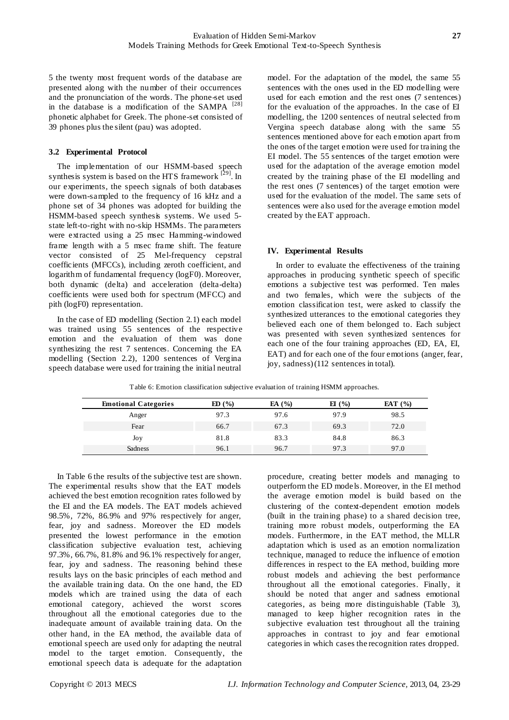5 the twenty most frequent words of the database are presented along with the number of their occurrences and the pronunciation of the words. The phone-set used in the database is a modification of the SAMPA <sup>[28]</sup> phonetic alphabet for Greek. The phone-set consisted of 39 phones plus the silent (pau) was adopted.

#### **3.2 Experimental Protocol**

The implementation of our HSMM-based speech synthesis system is based on the HTS framework  $[29]$ . In our experiments, the speech signals of both databases were down-sampled to the frequency of 16 kHz and a phone set of 34 phones was adopted for building the HSMM-based speech synthesis systems. We used 5 state left-to-right with no-skip HSMMs. The parameters were extracted using a 25 msec Hamming-windowed frame length with a 5 msec frame shift. The feature vector consisted of 25 Mel-frequency cepstral coefficients (MFCCs), including zeroth coefficient, and logarithm of fundamental frequency (logF0). Moreover, both dynamic (delta) and acceleration (delta-delta) coefficients were used both for spectrum (MFCC) and pith (logF0) representation.

In the case of ED modelling (Section 2.1) each model was trained using 55 sentences of the respective emotion and the evaluation of them was done synthesizing the rest 7 sentences. Concerning the EA modelling (Section 2.2), 1200 sentences of Vergina speech database were used for training the initial neutral

model. For the adaptation of the model, the same 55 sentences with the ones used in the ED modelling were used for each emotion and the rest ones (7 sentences) for the evaluation of the approaches. In the case of EI modelling, the 1200 sentences of neutral selected from Vergina speech database along with the same 55 sentences mentioned above for each emotion apart from the ones of the target emotion were used for training the EI model. The 55 sentences of the target emotion were used for the adaptation of the average emotion model created by the training phase of the EI modelling and the rest ones (7 sentences) of the target emotion were used for the evaluation of the model. The same sets of sentences were also used for the average emotion model created by the EAT approach.

#### **IV. Experimental Results**

In order to evaluate the effectiveness of the training approaches in producing synthetic speech of specific emotions a subjective test was performed. Ten males and two females, which were the subjects of the emotion classification test, were asked to classify the synthesized utterances to the emotional categories they believed each one of them belonged to. Each subject was presented with seven synthesized sentences for each one of the four training approaches (ED, EA, EI, EAT) and for each one of the four emotions (anger, fear, joy, sadness) (112 sentences in total).

| Table 6: Emotion classification subjective evaluation of training HSMM approaches. |  |  |
|------------------------------------------------------------------------------------|--|--|
|------------------------------------------------------------------------------------|--|--|

| <b>Emotional Categories</b> | ED(%) | EA $(%$ | E1(%) | EAT $(\% )$ |
|-----------------------------|-------|---------|-------|-------------|
| Anger                       | 97.3  | 97.6    | 97.9  | 98.5        |
| Fear                        | 66.7  | 67.3    | 69.3  | 72.0        |
| Joy                         | 81.8  | 83.3    | 84.8  | 86.3        |
| Sadness                     | 96.1  | 96.7    | 97.3  | 97.0        |

In Table 6 the results of the subjective test are shown. The experimental results show that the EAT models achieved the best emotion recognition rates followed by the EI and the EA models. The EAT models achieved 98.5%, 72%, 86.9% and 97% respectively for anger, fear, joy and sadness. Moreover the ED models presented the lowest performance in the emotion classification subjective evaluation test, achieving 97.3%, 66.7%, 81.8% and 96.1% respectively for anger, fear, joy and sadness. The reasoning behind these results lays on the basic principles of each method and the available training data. On the one hand, the ED models which are trained using the data of each emotional category, achieved the worst scores throughout all the emotional categories due to the inadequate amount of available training data. On the other hand, in the EA method, the available data of emotional speech are used only for adapting the neutral model to the target emotion. Consequently, the emotional speech data is adequate for the adaptation

procedure, creating better models and managing to outperform the ED mode ls. Moreover, in the EI method the average emotion model is build based on the clustering of the context-dependent emotion models (built in the training phase) to a shared decision tree, training more robust models, outperforming the EA models. Furthermore, in the EAT method, the MLLR adaptation which is used as an emotion normalization technique, managed to reduce the influence of emotion differences in respect to the EA method, building more robust models and achieving the best performance throughout all the emotional categories. Finally, it should be noted that anger and sadness emotional categories, as being more distinguishable (Table 3), managed to keep higher recognition rates in the subjective evaluation test throughout all the training approaches in contrast to joy and fear emotional categories in which cases the recognition rates dropped.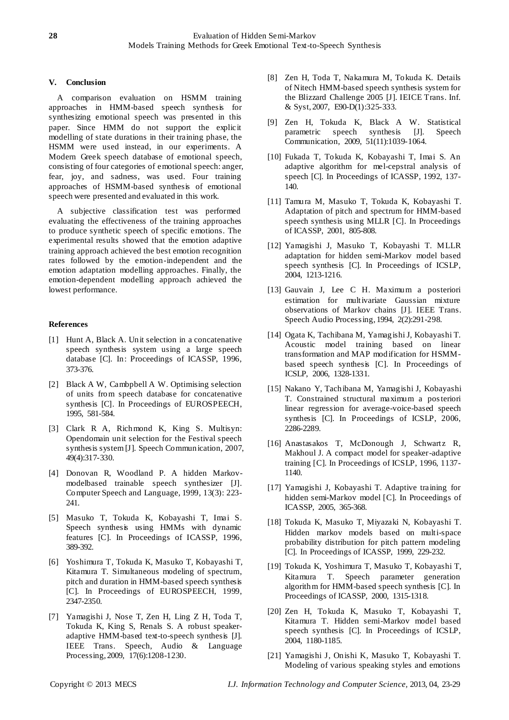# **V. Conclusion**

A comparison evaluation on HSMM training approaches in HMM-based speech synthesis for synthesizing emotional speech was presented in this paper. Since HMM do not support the explicit modelling of state durations in their training phase, the HSMM were used instead, in our experiments. A Modern Greek speech database of emotional speech, consisting of four categories of emotional speech: anger, fear, joy, and sadness, was used. Four training approaches of HSMM-based synthesis of emotional speech were presented and evaluated in this work.

A subjective classification test was performed evaluating the effectiveness of the training approaches to produce synthetic speech of specific emotions. The experimental results showed that the emotion adaptive training approach achieved the best emotion recognition rates followed by the emotion-independent and the emotion adaptation modelling approaches. Finally, the emotion-dependent modelling approach achieved the lowest performance.

# **References**

- [1] Hunt A, Black A. Unit selection in a concatenative speech synthesis system using a large speech database [C]. In: Proceedings of ICASSP, 1996, 373-376.
- [2] Black A W, Cambpbell A W. Optimising selection of units from speech database for concatenative synthesis [C]. In Proceedings of EUROSPEECH, 1995, 581-584.
- [3] Clark R A, Richmond K, King S. Multisyn: Opendomain unit selection for the Festival speech synthesis system [J]. Speech Communication, 2007, 49(4):317-330.
- [4] Donovan R, Woodland P. A hidden Markovmodelbased trainable speech synthesizer [J]. Computer Speech and Language, 1999, 13(3): 223- 241.
- [5] Masuko T, Tokuda K, Kobayashi T, Imai S. Speech synthesis using HMMs with dynamic features [C]. In Proceedings of ICASSP, 1996, 389-392.
- [6] Yoshimura T, Tokuda K, Masuko T, Kobayashi T, Kitamura T. Simultaneous modeling of spectrum, pitch and duration in HMM-based speech synthesis [C]. In Proceedings of EUROSPEECH, 1999, 2347-2350.
- [7] Yamagishi J, Nose T, Zen H, Ling Z H, Toda T, Tokuda K, King S, Renals S. A robust speakeradaptive HMM-based text-to-speech synthesis [J]. IEEE Trans. Speech, Audio & Language Processing, 2009, 17(6):1208-1230.
- [8] Zen H, Toda T, Nakamura M, Tokuda K. Details of Nitech HMM-based speech synthesis system for the Blizzard Challenge 2005 [J]. IEICE Trans. Inf. & Syst, 2007, E90-D(1):325-333.
- [9] Zen H, Tokuda K, Black A W. Statistical parametric speech synthesis [J]. Speech Communication, 2009, 51(11):1039-1064.
- [10] Fukada T, Tokuda K, Kobayashi T, Imai S. An adaptive algorithm for mel-cepstral analysis of speech [C]. In Proceedings of ICASSP, 1992, 137- 140.
- [11] Tamura M, Masuko T, Tokuda K, Kobayashi T. Adaptation of pitch and spectrum for HMM-based speech synthesis using MLLR [C]. In Proceedings of ICASSP, 2001, 805-808.
- [12] Yamagishi J, Masuko T, Kobayashi T. MLLR adaptation for hidden semi-Markov model based speech synthesis [C]. In Proceedings of ICSLP, 2004, 1213-1216.
- [13] Gauvain J, Lee C H. Maximum a posteriori estimation for multivariate Gaussian mixture observations of Markov chains [J]. IEEE Trans. Speech Audio Processing, 1994, 2(2):291-298.
- [14] Ogata K, Tachibana M, Yamagishi J, Kobayashi T. Acoustic model training based on linear transformation and MAP modification for HSMMbased speech synthesis [C]. In Proceedings of ICSLP, 2006, 1328-1331.
- [15] Nakano Y, Tachibana M, Yamagishi J, Kobayashi T. Constrained structural maximum a posteriori linear regression for average-voice-based speech synthesis [C]. In Proceedings of ICSLP, 2006, 2286-2289.
- [16] Anastasakos T, McDonough J, Schwartz R, Makhoul J. A compact model for speaker-adaptive training [C]. In Proceedings of ICSLP, 1996, 1137- 1140.
- [17] Yamagishi J, Kobayashi T. Adaptive training for hidden semi-Markov model [C]. In Proceedings of ICASSP, 2005, 365-368.
- [18] Tokuda K, Masuko T, Miyazaki N, Kobayashi T. Hidden markov models based on multi-space probability distribution for pitch pattern modeling [C]. In Proceedings of ICASSP, 1999, 229-232.
- [19] Tokuda K, Yoshimura T, Masuko T, Kobayashi T, Kitamura T. Speech parameter generation algorithm for HMM-based speech synthesis [C]. In Proceedings of ICASSP, 2000, 1315-1318.
- [20] Zen H, Tokuda K, Masuko T, Kobayashi T, Kitamura T. Hidden semi-Markov model based speech synthesis [C]. In Proceedings of ICSLP, 2004, 1180-1185.
- [21] Yamagishi J, Onishi K, Masuko T, Kobayashi T. Modeling of various speaking styles and emotions